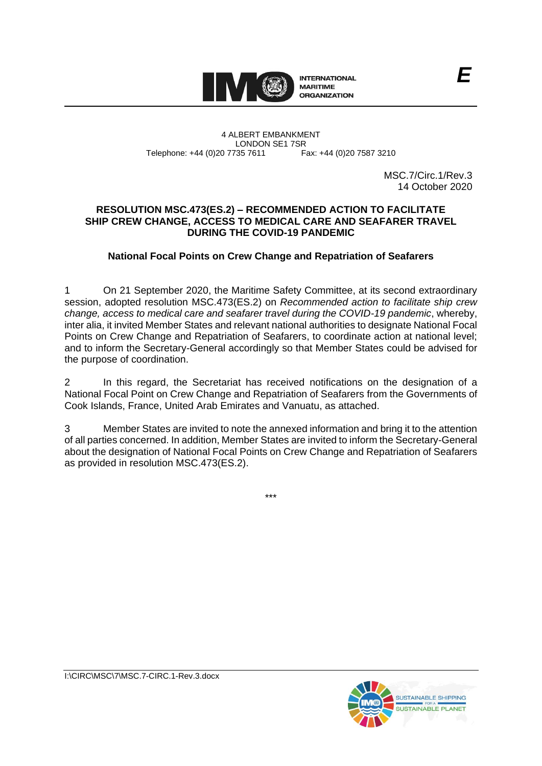

#### 4 ALBERT EMBANKMENT LONDON SE1 7SR<br>735 7611 Fax: +44 (0)20 7587 3210 Telephone: +44 (0)20 7735 7611

MSC.7/Circ.1/Rev.3 14 October 2020

### **RESOLUTION MSC.473(ES.2) – RECOMMENDED ACTION TO FACILITATE SHIP CREW CHANGE, ACCESS TO MEDICAL CARE AND SEAFARER TRAVEL DURING THE COVID-19 PANDEMIC**

# **National Focal Points on Crew Change and Repatriation of Seafarers**

1 On 21 September 2020, the Maritime Safety Committee, at its second extraordinary session, adopted resolution MSC.473(ES.2) on *Recommended action to facilitate ship crew change, access to medical care and seafarer travel during the COVID-19 pandemic*, whereby, inter alia, it invited Member States and relevant national authorities to designate National Focal Points on Crew Change and Repatriation of Seafarers, to coordinate action at national level; and to inform the Secretary-General accordingly so that Member States could be advised for the purpose of coordination.

2 In this regard, the Secretariat has received notifications on the designation of a National Focal Point on Crew Change and Repatriation of Seafarers from the Governments of Cook Islands, France, United Arab Emirates and Vanuatu, as attached.

3 Member States are invited to note the annexed information and bring it to the attention of all parties concerned. In addition, Member States are invited to inform the Secretary-General about the designation of National Focal Points on Crew Change and Repatriation of Seafarers as provided in resolution MSC.473(ES.2).

\*\*\*